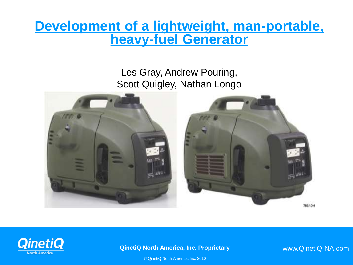### **Development of a lightweight, man-portable, heavy-fuel Generator**

Les Gray, Andrew Pouring, Scott Quigley, Nathan Longo





#### **QinetiQ North America, Inc. Proprietary**

www.QinetiQ-NA.com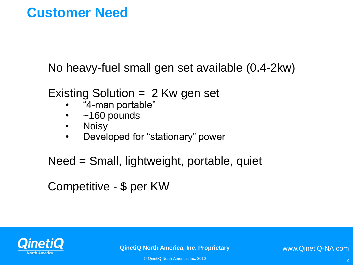No heavy-fuel small gen set available (0.4-2kw)

- Existing Solution = 2 Kw gen set
	- "4-man portable"
	- $\cdot$  ~160 pounds
	- Noisy
	- Developed for "stationary" power

Need = Small, lightweight, portable, quiet

Competitive - \$ per KW



**QinetiQ North America, Inc. Proprietary** 

www.QinetiQ-NA.com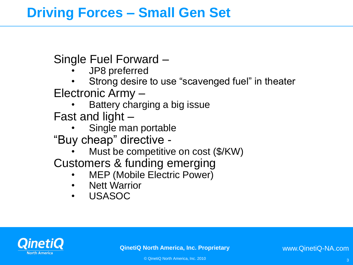## **Driving Forces – Small Gen Set**

Single Fuel Forward –

- JP8 preferred
- Strong desire to use "scavenged fuel" in theater Electronic Army –
	- Battery charging a big issue

Fast and light –

• Single man portable

"Buy cheap" directive -

Must be competitive on cost (\$/KW)

Customers & funding emerging

- MEP (Mobile Electric Power)
- **Nett Warrior**
- USASOC

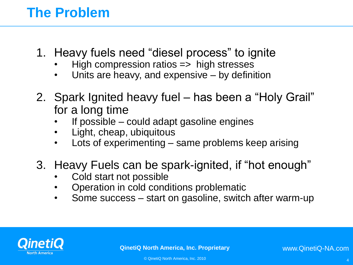# **The Problem**

- 1. Heavy fuels need "diesel process" to ignite
	- $High compression ratios \implies high stresses$
	- Units are heavy, and expensive by definition
- 2. Spark Ignited heavy fuel has been a "Holy Grail" for a long time
	- If possible could adapt gasoline engines
	- Light, cheap, ubiquitous
	- Lots of experimenting same problems keep arising
- 3. Heavy Fuels can be spark-ignited, if "hot enough"
	- Cold start not possible
	- Operation in cold conditions problematic
	- Some success start on gasoline, switch after warm-up



**QinetiQ North America, Inc. Proprietary**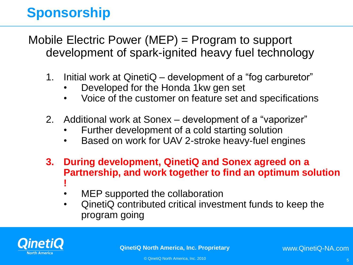# **Sponsorship**

Mobile Electric Power (MEP) = Program to support development of spark-ignited heavy fuel technology

- 1. Initial work at QinetiQ development of a "fog carburetor"
	- Developed for the Honda 1kw gen set
	- Voice of the customer on feature set and specifications
- 2. Additional work at Sonex development of a "vaporizer"
	- Further development of a cold starting solution
	- Based on work for UAV 2-stroke heavy-fuel engines
- **3. During development, QinetiQ and Sonex agreed on a Partnership, and work together to find an optimum solution !**
	- MEP supported the collaboration
	- QinetiQ contributed critical investment funds to keep the program going

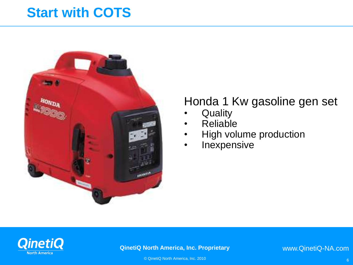## **Start with COTS**



#### Honda 1 Kw gasoline gen set

- **Quality**
- Reliable
- High volume production
- **Inexpensive**



#### **QinetiQ North America, Inc. Proprietary**

www.QinetiQ-NA.com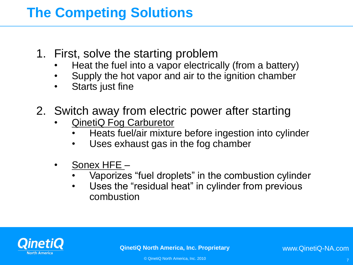# **The Competing Solutions**

- 1. First, solve the starting problem
	- Heat the fuel into a vapor electrically (from a battery)
	- Supply the hot vapor and air to the ignition chamber
	- Starts just fine
- 2. Switch away from electric power after starting
	- QinetiQ Fog Carburetor
		- Heats fuel/air mixture before ingestion into cylinder
		- Uses exhaust gas in the fog chamber
	- Sonex HFE
		- Vaporizes "fuel droplets" in the combustion cylinder
		- Uses the "residual heat" in cylinder from previous combustion

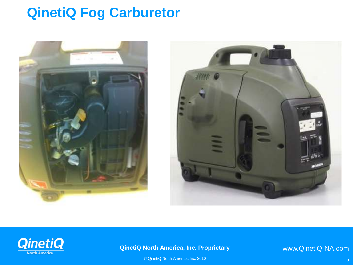## **QinetiQ Fog Carburetor**







#### **QinetiQ North America, Inc. Proprietary**

www.QinetiQ-NA.com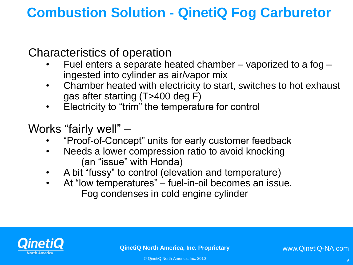Characteristics of operation

- Fuel enters a separate heated chamber vaporized to a fog ingested into cylinder as air/vapor mix
- Chamber heated with electricity to start, switches to hot exhaust gas after starting (T>400 deg F)
- Electricity to "trim" the temperature for control

Works "fairly well" –

- "Proof-of-Concept" units for early customer feedback
- Needs a lower compression ratio to avoid knocking (an "issue" with Honda)
- A bit "fussy" to control (elevation and temperature)
- At "low temperatures" fuel-in-oil becomes an issue. Fog condenses in cold engine cylinder

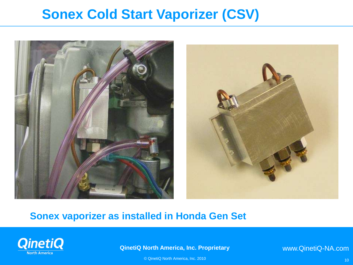## **Sonex Cold Start Vaporizer (CSV)**



#### **Sonex vaporizer as installed in Honda Gen Set**

![](_page_9_Picture_3.jpeg)

**QinetiQ North America, Inc. Proprietary View of CSV**

www.QinetiQ-NA.com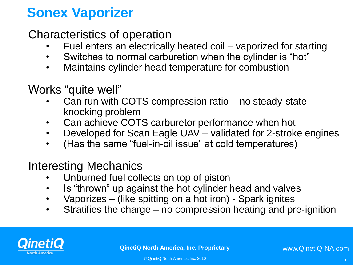# **Sonex Vaporizer**

#### Characteristics of operation

- Fuel enters an electrically heated coil vaporized for starting
- Switches to normal carburetion when the cylinder is "hot"
- Maintains cylinder head temperature for combustion

#### Works "quite well"

- Can run with COTS compression ratio no steady-state knocking problem
- Can achieve COTS carburetor performance when hot
- Developed for Scan Eagle UAV validated for 2-stroke engines
- (Has the same "fuel-in-oil issue" at cold temperatures)

#### Interesting Mechanics

- Unburned fuel collects on top of piston
- Is "thrown" up against the hot cylinder head and valves
- Vaporizes (like spitting on a hot iron) Spark ignites
- Stratifies the charge no compression heating and pre-ignition

![](_page_10_Picture_15.jpeg)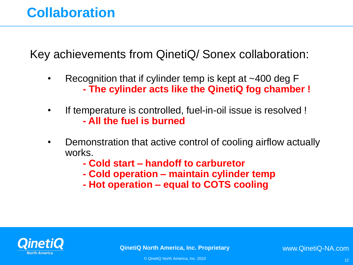# **Collaboration**

Key achievements from QinetiQ/ Sonex collaboration:

- Recognition that if cylinder temp is kept at  $\sim$ 400 deg F **- The cylinder acts like the QinetiQ fog chamber !**
- If temperature is controlled, fuel-in-oil issue is resolved ! **- All the fuel is burned**
- Demonstration that active control of cooling airflow actually works.
	- **- Cold start – handoff to carburetor**
	- **- Cold operation – maintain cylinder temp**
	- **- Hot operation – equal to COTS cooling**

![](_page_11_Picture_8.jpeg)

**QinetiQ North America, Inc. Proprietary** 

www.QinetiQ-NA.com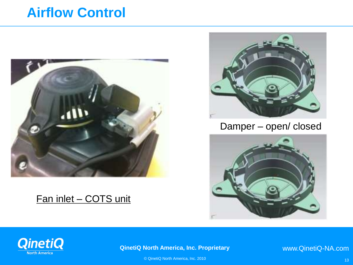## **Airflow Control**

![](_page_12_Picture_1.jpeg)

#### Fan inlet – COTS unit

![](_page_12_Picture_3.jpeg)

Damper – open/ closed

![](_page_12_Picture_5.jpeg)

![](_page_12_Picture_6.jpeg)

**QinetiQ North America, Inc. Proprietary** 

www.QinetiQ-NA.com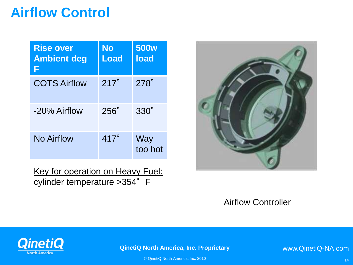# **Airflow Control**

| <b>Rise over</b><br><b>Ambient deg</b> | No<br>Load  | 500 <sub>w</sub><br><b>load</b> |
|----------------------------------------|-------------|---------------------------------|
| <b>COTS Airflow</b>                    | $217^\circ$ | $278^\circ$                     |
| -20% Airflow                           | $256^\circ$ | $330^\circ$                     |
| No Airflow                             | $417^\circ$ | Way<br>too hot                  |

Key for operation on Heavy Fuel: cylinder temperature > 354° F

![](_page_13_Picture_3.jpeg)

#### Airflow Controller

![](_page_13_Picture_5.jpeg)

**QinetiQ North America, Inc. Proprietary** 

www.QinetiQ-NA.com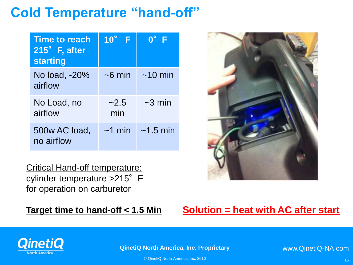# **Cold Temperature "hand-off"**

| <b>Time to reach</b><br>215° F, after<br><b>starting</b> | $10^\circ$ F | $\overline{\mathsf{n}}^{\circ}$ |
|----------------------------------------------------------|--------------|---------------------------------|
| No load, -20%<br>airflow                                 | $~5$ min     | $~10$ min                       |
| No Load, no<br>airflow                                   | ~2.5<br>min  | $\sim$ 3 min                    |
| 500w AC load,<br>no airflow                              | $~1$ min     | $~1.5$ min                      |

Critical Hand-off temperature: cylinder temperature > 215° F for operation on carburetor

![](_page_14_Picture_4.jpeg)

#### **Target time to hand-off < 1.5 Min Solution = heat with AC after start**

![](_page_14_Picture_6.jpeg)

**QinetiQ North America, Inc. Proprietary** 

www.QinetiQ-NA.com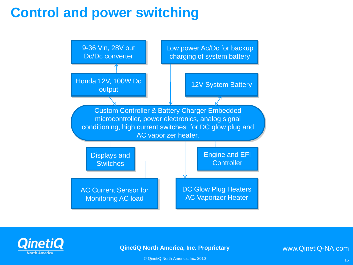# **Control and power switching**

![](_page_15_Figure_1.jpeg)

![](_page_15_Picture_2.jpeg)

#### **QinetiQ North America, Inc. Proprietary**

www.QinetiQ-NA.com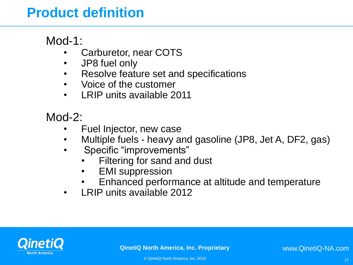# **Product definition**

Mod-1:

- Carburetor, near COTS
- JP8 fuel only
- Resolve feature set and specifications
- Voice of the customer
- LRIP units available 2011

Mod-2:

- Fuel Injector, new case
- Multiple fuels heavy and gasoline (JP8, Jet A, DF2, gas)
- Specific "improvements"
	- Filtering for sand and dust
	- **EMI** suppression
	- Enhanced performance at altitude and temperature
- LRIP units available 2012

![](_page_16_Picture_15.jpeg)

**QinetiQ North America, Inc. Proprietary** 

www.QinetiQ-NA.com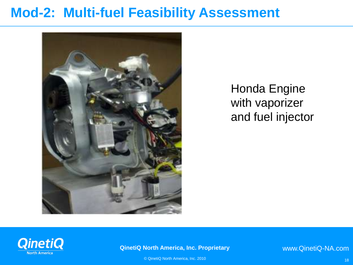### **Mod-2: Multi-fuel Feasibility Assessment**

![](_page_17_Picture_1.jpeg)

Honda Engine with vaporizer and fuel injector

![](_page_17_Picture_3.jpeg)

#### **QinetiQ North America, Inc. Proprietary**

www.QinetiQ-NA.com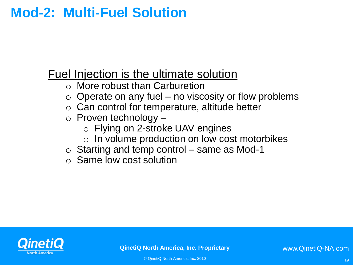#### Fuel Injection is the ultimate solution

- o More robust than Carburetion
- $\circ$  Operate on any fuel no viscosity or flow problems
- $\circ$  Can control for temperature, altitude better
- $\circ$  Proven technology
	- o Flying on 2-stroke UAV engines
	- $\circ$  In volume production on low cost motorbikes
- $\circ$  Starting and temp control same as Mod-1
- o Same low cost solution

![](_page_18_Picture_10.jpeg)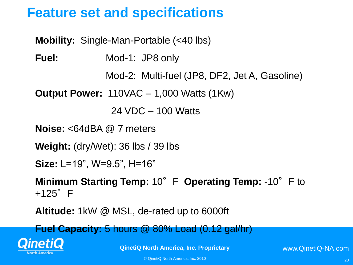## **Feature set and specifications**

| <b>Mobility:</b> Single-Man-Portable (<40 lbs)                           |
|--------------------------------------------------------------------------|
| Fuel:<br>Mod-1: JP8 only                                                 |
| Mod-2: Multi-fuel (JP8, DF2, Jet A, Gasoline)                            |
| <b>Output Power:</b> $110\sqrt{AC} - 1,000$ Watts (1Kw)                  |
| $24 \text{ VDC} - 100 \text{ Watts}$                                     |
| <b>Noise:</b> $<64$ dBA $@$ 7 meters                                     |
| <b>Weight:</b> (dry/Wet): $36$ lbs / $39$ lbs                            |
| <b>Size:</b> L=19", W=9.5", H=16"                                        |
| Minimum Starting Temp: 10° F Operating Temp: -10° F to<br>$+125^\circ$ F |
| Altitude: 1kW @ MSL, de-rated up to 6000ft                               |

**Fuel Capacity:** 5 hours @ 80% Load (0.12 gal/hr)

![](_page_19_Picture_3.jpeg)

**QinetiQ North America, Inc. Proprietary**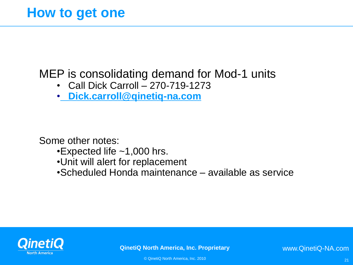### MEP is consolidating demand for Mod-1 units

- Call Dick Carroll 270-719-1273
- • **[Dick.carroll@qinetiq-na.com](mailto:Dick.carroll@qinetiq-na.com)**

Some other notes:

- •Expected life ~1,000 hrs.
- •Unit will alert for replacement
- •Scheduled Honda maintenance available as service

![](_page_20_Picture_8.jpeg)

**QinetiQ North America, Inc. Proprietary** 

www.QinetiQ-NA.com